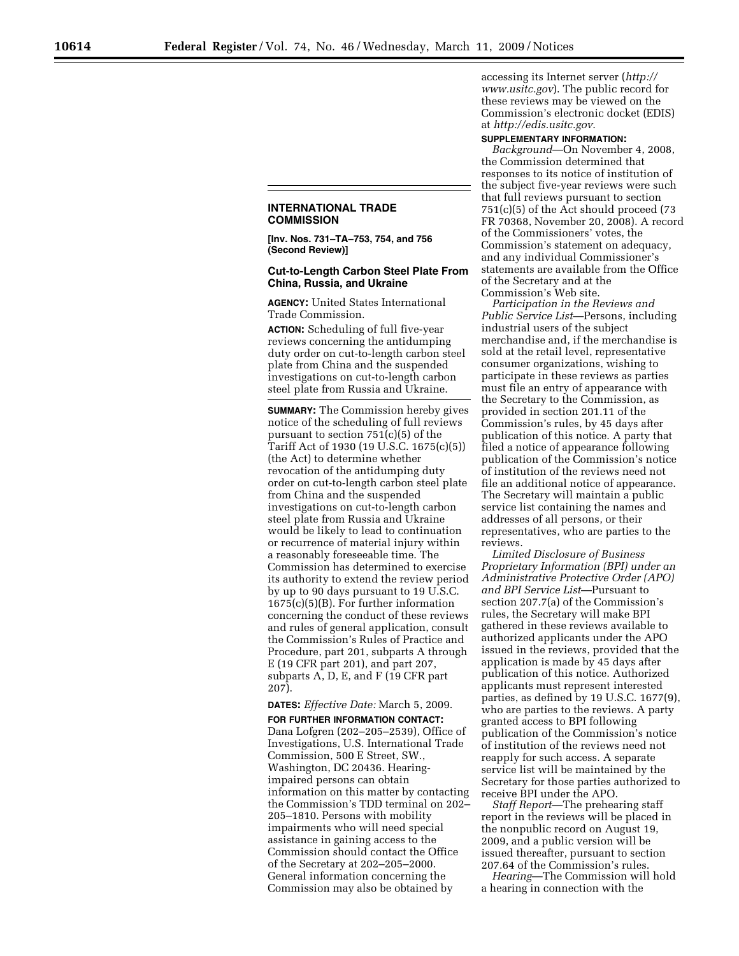## **INTERNATIONAL TRADE COMMISSION**

**[Inv. Nos. 731–TA–753, 754, and 756 (Second Review)]** 

## **Cut-to-Length Carbon Steel Plate From China, Russia, and Ukraine**

**AGENCY:** United States International Trade Commission.

**ACTION:** Scheduling of full five-year reviews concerning the antidumping duty order on cut-to-length carbon steel plate from China and the suspended investigations on cut-to-length carbon steel plate from Russia and Ukraine.

**SUMMARY:** The Commission hereby gives notice of the scheduling of full reviews pursuant to section 751(c)(5) of the Tariff Act of 1930 (19 U.S.C. 1675(c)(5)) (the Act) to determine whether revocation of the antidumping duty order on cut-to-length carbon steel plate from China and the suspended investigations on cut-to-length carbon steel plate from Russia and Ukraine would be likely to lead to continuation or recurrence of material injury within a reasonably foreseeable time. The Commission has determined to exercise its authority to extend the review period by up to 90 days pursuant to 19 U.S.C. 1675(c)(5)(B). For further information concerning the conduct of these reviews and rules of general application, consult the Commission's Rules of Practice and Procedure, part 201, subparts A through E (19 CFR part 201), and part 207, subparts A, D, E, and F (19 CFR part 207).

## **DATES:** *Effective Date:* March 5, 2009.

**FOR FURTHER INFORMATION CONTACT:**  Dana Lofgren (202–205–2539), Office of Investigations, U.S. International Trade Commission, 500 E Street, SW., Washington, DC 20436. Hearingimpaired persons can obtain information on this matter by contacting the Commission's TDD terminal on 202– 205–1810. Persons with mobility impairments who will need special assistance in gaining access to the Commission should contact the Office of the Secretary at 202–205–2000. General information concerning the Commission may also be obtained by

accessing its Internet server (*http:// www.usitc.gov*). The public record for these reviews may be viewed on the Commission's electronic docket (EDIS) at *http://edis.usitc.gov*.

## **SUPPLEMENTARY INFORMATION:**

*Background*—On November 4, 2008, the Commission determined that responses to its notice of institution of the subject five-year reviews were such that full reviews pursuant to section 751(c)(5) of the Act should proceed (73 FR 70368, November 20, 2008). A record of the Commissioners' votes, the Commission's statement on adequacy, and any individual Commissioner's statements are available from the Office of the Secretary and at the Commission's Web site.

*Participation in the Reviews and Public Service List*—Persons, including industrial users of the subject merchandise and, if the merchandise is sold at the retail level, representative consumer organizations, wishing to participate in these reviews as parties must file an entry of appearance with the Secretary to the Commission, as provided in section 201.11 of the Commission's rules, by 45 days after publication of this notice. A party that filed a notice of appearance following publication of the Commission's notice of institution of the reviews need not file an additional notice of appearance. The Secretary will maintain a public service list containing the names and addresses of all persons, or their representatives, who are parties to the reviews.

*Limited Disclosure of Business Proprietary Information (BPI) under an Administrative Protective Order (APO) and BPI Service List*—Pursuant to section 207.7(a) of the Commission's rules, the Secretary will make BPI gathered in these reviews available to authorized applicants under the APO issued in the reviews, provided that the application is made by 45 days after publication of this notice. Authorized applicants must represent interested parties, as defined by 19 U.S.C. 1677(9), who are parties to the reviews. A party granted access to BPI following publication of the Commission's notice of institution of the reviews need not reapply for such access. A separate service list will be maintained by the Secretary for those parties authorized to receive BPI under the APO.

*Staff Report*—The prehearing staff report in the reviews will be placed in the nonpublic record on August 19, 2009, and a public version will be issued thereafter, pursuant to section 207.64 of the Commission's rules.

*Hearing*—The Commission will hold a hearing in connection with the